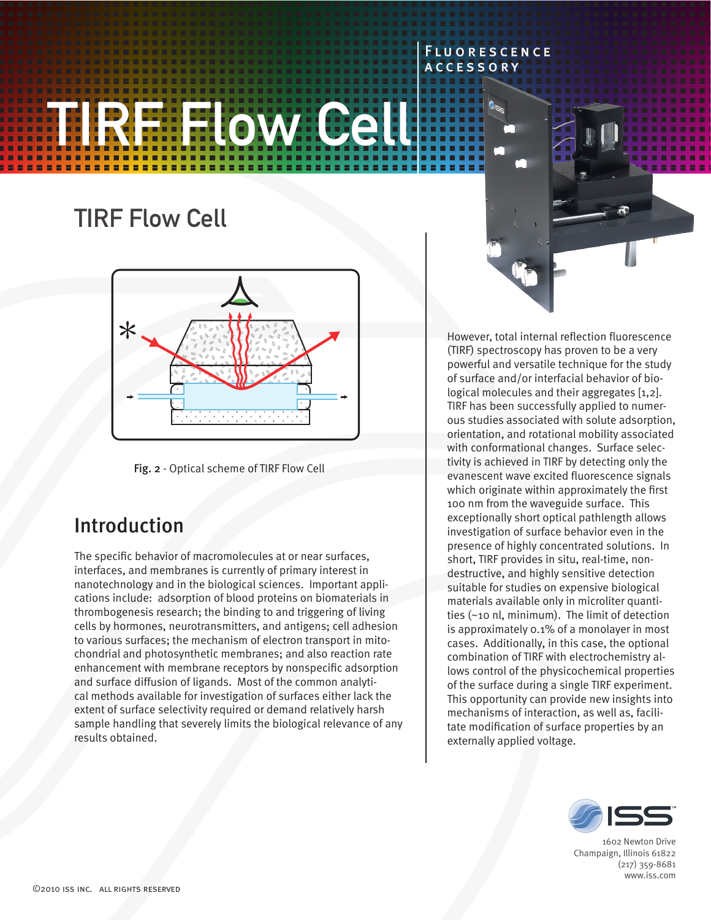# **TIFlow Cell**

# TIRF Flow Cell





# Introduction

The specific behavior of macromolecules at or near surfaces, interfaces, and membranes is currently of primary interest in nanotechnology and in the biological sciences. Important applications include: adsorption of blood proteins on biomaterials in thrombogenesis research; the binding to and triggering of living cells by hormones, neurotransmitters, and antigens; cell adhesion to various surfaces; the mechanism of electron transport in mitochondrial and photosynthetic membranes; and also reaction rate enhancement with membrane receptors by nonspecific adsorption and surface diffusion of ligands. Most of the common analytical methods available for investigation of surfaces either lack the extent of surface selectivity required or demand relatively harsh sample handling that severely limits the biological relevance of any results obtained.

However, total internal reflection fluorescence (TIRF) spectroscopy has proven to be a very powerful and versatile technique for the study of surface and/or interfacial behavior of biological molecules and their aggregates [1,2]. TIRF has been successfully applied to numerous studies associated with solute adsorption, orientation, and rotational mobility associated with conformational changes. Surface selectivity is achieved in TIRF by detecting only the evanescent wave excited fluorescence signals which originate within approximately the first 100 nm from the waveguide surface. This exceptionally short optical pathlength allows investigation of surface behavior even in the presence of highly concentrated solutions. In short, TIRF provides in situ, real-time, nondestructive, and highly sensitive detection suitable for studies on expensive biological materials available only in microliter quantities (~10 nl, minimum). The limit of detection is approximately 0.1% of a monolayer in most cases. Additionally, in this case, the optional combination of TIRF with electrochemistry allows control of the physicochemical properties of the surface during a single TIRF experiment. This opportunity can provide new insights into mechanisms of interaction, as well as, facilitate modification of surface properties by an externally applied voltage.

Fluorescence **ACCESSORY** 



1602 Newton Drive Champaign, Illinois 61822 (217) 359-8681 www.iss.com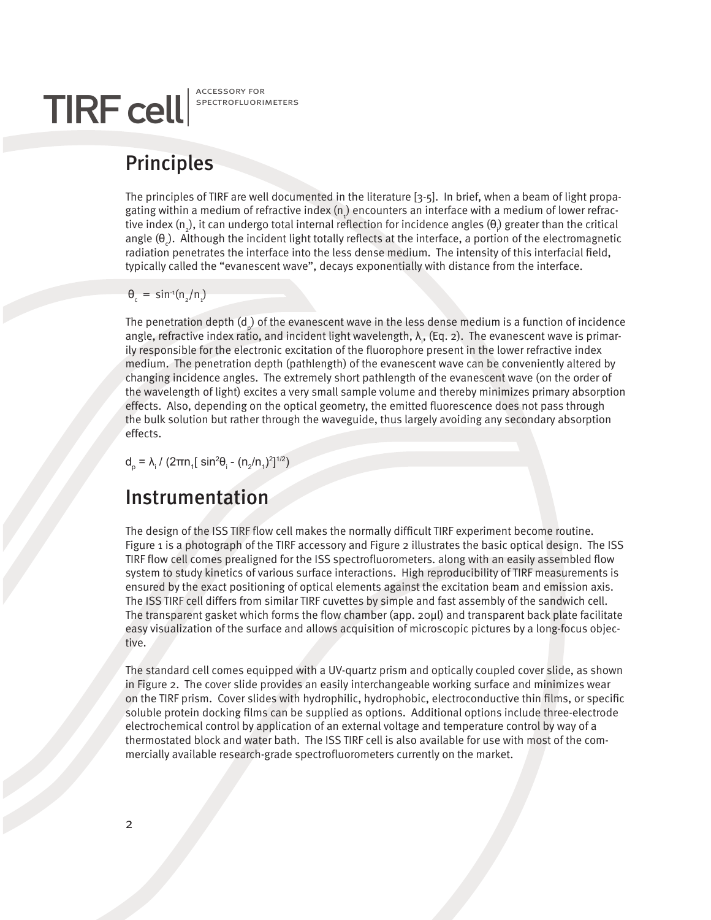# TIRF cell SPECTROFLUORI

spectrofluorimeters

# Principles

The principles of TIRF are well documented in the literature [3-5]. In brief, when a beam of light propagating within a medium of refractive index (n<sub>,</sub>) encounters an interface with a medium of lower refractive index (n<sub>2</sub>), it can undergo total internal reflection for incidence angles (θ<sub>)</sub> greater than the critical angle ( $\theta_c$ ). Although the incident light totally reflects at the interface, a portion of the electromagnetic radiation penetrates the interface into the less dense medium. The intensity of this interfacial field, typically called the "evanescent wave", decays exponentially with distance from the interface.

#### $θ<sub>c</sub> = sin<sup>-1</sup>(n<sub>2</sub>/n<sub>1</sub>)$

The penetration depth (d<sub>p</sub>) of the evanescent wave in the less dense medium is a function of incidence angle, refractive index ratio, and incident light wavelength,  $\lambda_{_\mathsf{P}}$  (Eq. 2). The evanescent wave is primarily responsible for the electronic excitation of the fluorophore present in the lower refractive index medium. The penetration depth (pathlength) of the evanescent wave can be conveniently altered by changing incidence angles. The extremely short pathlength of the evanescent wave (on the order of the wavelength of light) excites a very small sample volume and thereby minimizes primary absorption effects. Also, depending on the optical geometry, the emitted fluorescence does not pass through the bulk solution but rather through the waveguide, thus largely avoiding any secondary absorption effects.

 $d_p = λ_i / (2πn_1 sin^2θ_i - (n_2/n_1)^2]^{1/2})$ 

## Instrumentation

The design of the ISS TIRF flow cell makes the normally difficult TIRF experiment become routine. Figure 1 is a photograph of the TIRF accessory and Figure 2 illustrates the basic optical design. The ISS TIRF flow cell comes prealigned for the ISS spectrofluorometers. along with an easily assembled flow system to study kinetics of various surface interactions. High reproducibility of TIRF measurements is ensured by the exact positioning of optical elements against the excitation beam and emission axis. The ISS TIRF cell differs from similar TIRF cuvettes by simple and fast assembly of the sandwich cell. The transparent gasket which forms the flow chamber (app. 20µl) and transparent back plate facilitate easy visualization of the surface and allows acquisition of microscopic pictures by a long-focus objective.

The standard cell comes equipped with a UV-quartz prism and optically coupled cover slide, as shown in Figure 2. The cover slide provides an easily interchangeable working surface and minimizes wear on the TIRF prism. Cover slides with hydrophilic, hydrophobic, electroconductive thin films, or specific soluble protein docking films can be supplied as options. Additional options include three-electrode electrochemical control by application of an external voltage and temperature control by way of a thermostated block and water bath. The ISS TIRF cell is also available for use with most of the commercially available research-grade spectrofluorometers currently on the market.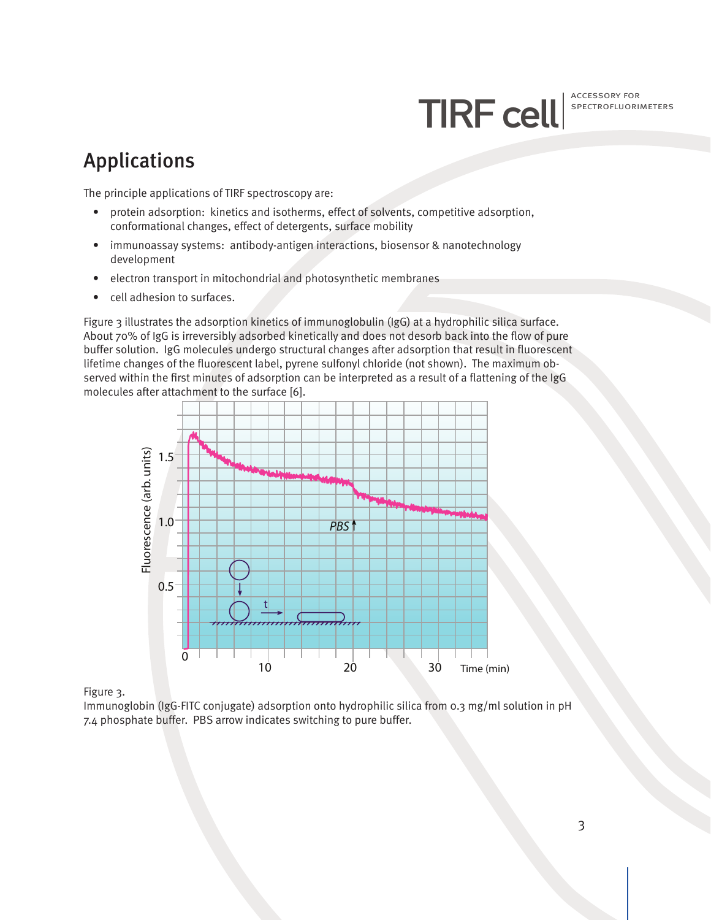TIRF cell<sup>ACCESSORY FOR</sup>

spectrofluorimeters

## Applications

The principle applications of TIRF spectroscopy are:

- protein adsorption: kinetics and isotherms, effect of solvents, competitive adsorption, conformational changes, effect of detergents, surface mobility
- immunoassay systems: antibody-antigen interactions, biosensor & nanotechnology development
- electron transport in mitochondrial and photosynthetic membranes
- cell adhesion to surfaces.

Figure 3 illustrates the adsorption kinetics of immunoglobulin (IgG) at a hydrophilic silica surface. About 70% of IgG is irreversibly adsorbed kinetically and does not desorb back into the flow of pure buffer solution. IgG molecules undergo structural changes after adsorption that result in fluorescent lifetime changes of the fluorescent label, pyrene sulfonyl chloride (not shown). The maximum observed within the first minutes of adsorption can be interpreted as a result of a flattening of the IgG molecules after attachment to the surface [6].



Figure 3.

Immunoglobin (IgG-FITC conjugate) adsorption onto hydrophilic silica from 0.3 mg/ml solution in pH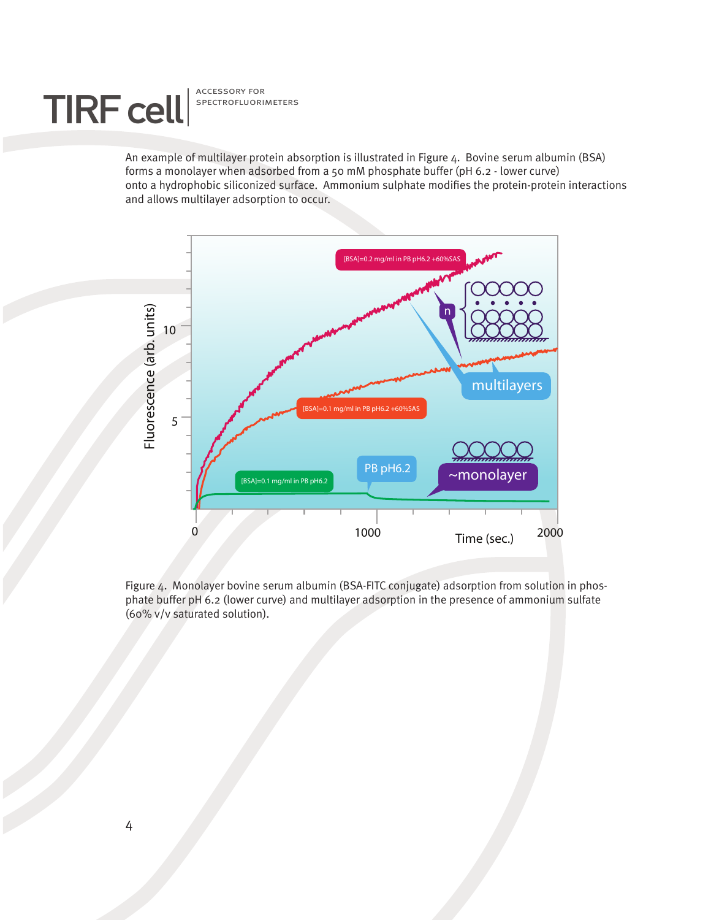

spectrofluorimeters

An example of multilayer protein absorption is illustrated in Figure 4. Bovine serum albumin (BSA) forms a monolayer when adsorbed from a 50 mM phosphate buffer (pH 6.2 - lower curve) onto a hydrophobic siliconized surface. Ammonium sulphate modifies the protein-protein interactions and allows multilayer adsorption to occur.



Figure 4. Monolayer bovine serum albumin (BSA-FITC conjugate) adsorption from solution in phosphate buffer pH 6.2 (lower curve) and multilayer adsorption in the presence of ammonium sulfate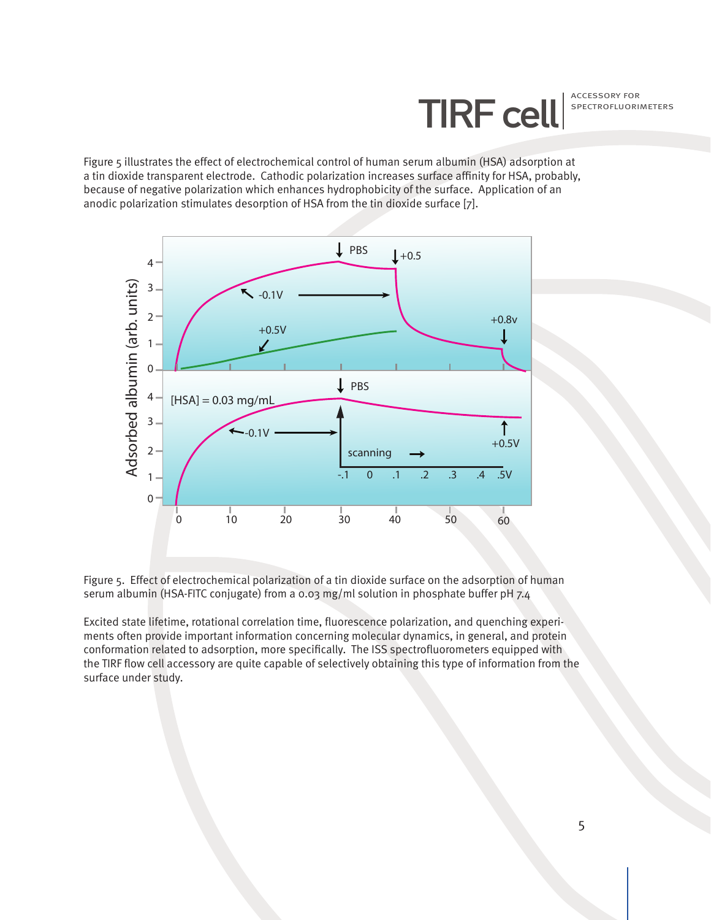TIRF cell<sup>ACCESSORY FOR</sup> spectrofluorimeters

Figure 5 illustrates the effect of electrochemical control of human serum albumin (HSA) adsorption at a tin dioxide transparent electrode. Cathodic polarization increases surface affinity for HSA, probably, because of negative polarization which enhances hydrophobicity of the surface. Application of an anodic polarization stimulates desorption of HSA from the tin dioxide surface [7].





Excited state lifetime, rotational correlation time, fluorescence polarization, and quenching experiments often provide important information concerning molecular dynamics, in general, and protein conformation related to adsorption, more specifically. The ISS spectrofluorometers equipped with the TIRF flow cell accessory are quite capable of selectively obtaining this type of information from the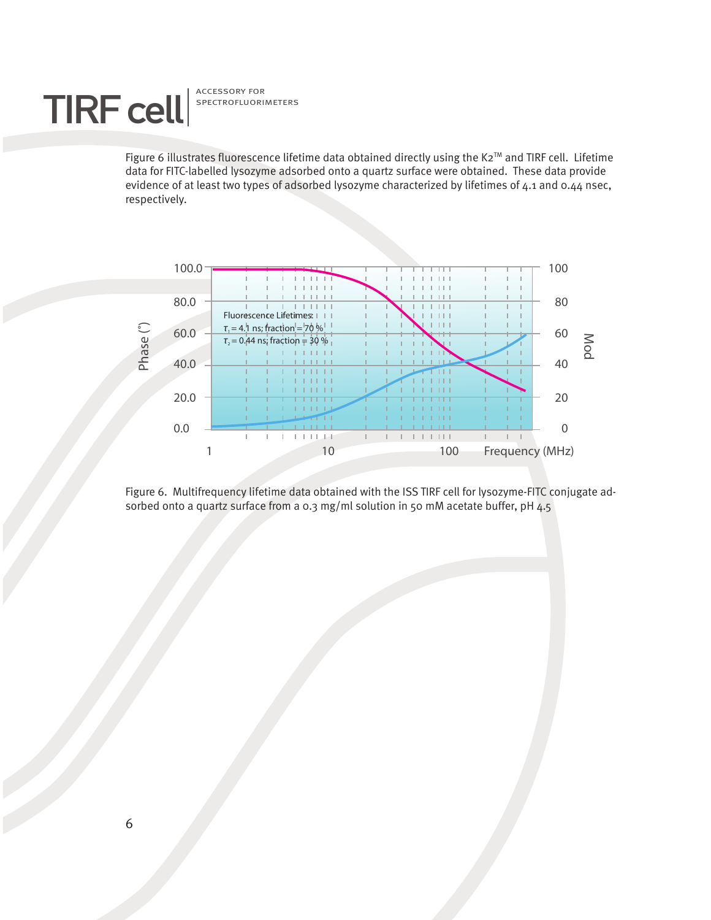# TIRF cell SPECTROFLUORI

spectrofluorimeters

Figure 6 illustrates fluorescence lifetime data obtained directly using the K2™ and TIRF cell. Lifetime data for FITC-labelled lysozyme adsorbed onto a quartz surface were obtained. These data provide evidence of at least two types of adsorbed lysozyme characterized by lifetimes of 4.1 and 0.44 nsec, respectively.



Figure 6. Multifrequency lifetime data obtained with the ISS TIRF cell for lysozyme-FITC conjugate adsorbed onto a quartz surface from a 0.3 mg/ml solution in 50 mM acetate buffer, pH 4.5